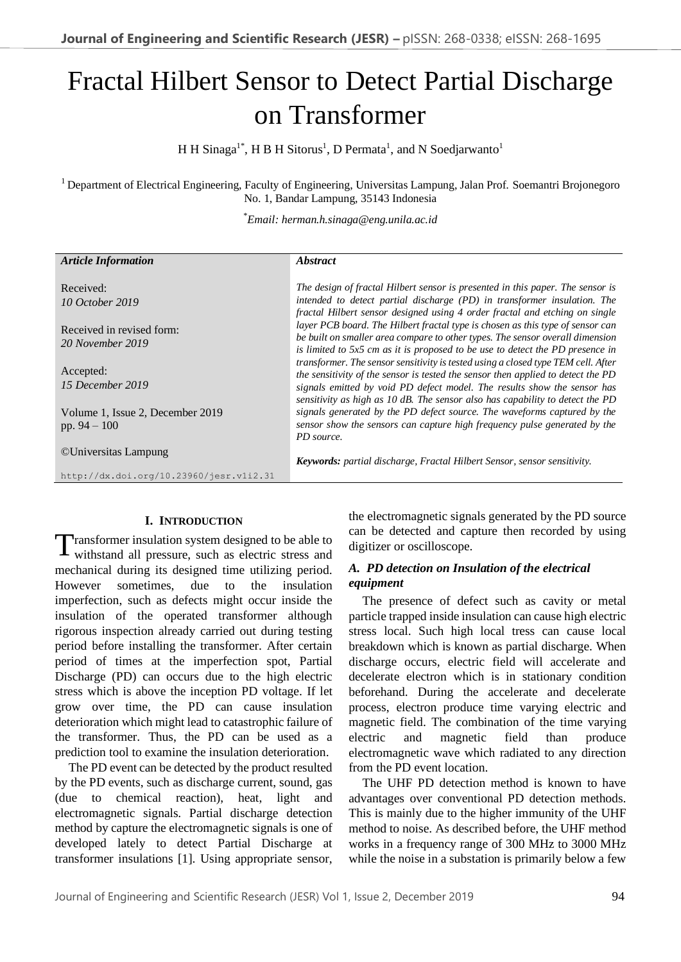# Fractal Hilbert Sensor to Detect Partial Discharge on Transformer

H H Sinaga<sup>1\*</sup>, H B H Sitorus<sup>1</sup>, D Permata<sup>1</sup>, and N Soedjarwanto<sup>1</sup>

<sup>1</sup> Department of Electrical Engineering, Faculty of Engineering, Universitas Lampung, Jalan Prof. Soemantri Brojonegoro No. 1, Bandar Lampung, 35143 Indonesia

\**Email: herman.h.sinaga@eng.unila.ac.id*

| <b>Article Information</b>                         | <i><b>Abstract</b></i>                                                                                                                                                                                                                                                                                                               |
|----------------------------------------------------|--------------------------------------------------------------------------------------------------------------------------------------------------------------------------------------------------------------------------------------------------------------------------------------------------------------------------------------|
| Received:                                          | The design of fractal Hilbert sensor is presented in this paper. The sensor is                                                                                                                                                                                                                                                       |
| 10 October 2019                                    | intended to detect partial discharge (PD) in transformer insulation. The<br>fractal Hilbert sensor designed using 4 order fractal and etching on single                                                                                                                                                                              |
| Received in revised form:<br>20 November 2019      | layer PCB board. The Hilbert fractal type is chosen as this type of sensor can<br>be built on smaller area compare to other types. The sensor overall dimension                                                                                                                                                                      |
| Accepted:<br>15 December 2019                      | is limited to $5x5$ cm as it is proposed to be use to detect the PD presence in<br>transformer. The sensor sensitivity is tested using a closed type TEM cell. After<br>the sensitivity of the sensor is tested the sensor then applied to detect the PD<br>signals emitted by void PD defect model. The results show the sensor has |
| Volume 1, Issue 2, December 2019<br>pp. $94 - 100$ | sensitivity as high as 10 dB. The sensor also has capability to detect the PD<br>signals generated by the PD defect source. The waveforms captured by the<br>sensor show the sensors can capture high frequency pulse generated by the<br>PD source.                                                                                 |
| ©Universitas Lampung                               | Keywords: partial discharge, Fractal Hilbert Sensor, sensor sensitivity.                                                                                                                                                                                                                                                             |
| http://dx.doi.org/10.23960/jesr.vli2.31            |                                                                                                                                                                                                                                                                                                                                      |

## **I. INTRODUCTION**

ransformer insulation system designed to be able to withstand all pressure, such as electric stress and mechanical during its designed time utilizing period. However sometimes, due to the insulation imperfection, such as defects might occur inside the insulation of the operated transformer although rigorous inspection already carried out during testing period before installing the transformer. After certain period of times at the imperfection spot, Partial Discharge (PD) can occurs due to the high electric stress which is above the inception PD voltage. If let grow over time, the PD can cause insulation deterioration which might lead to catastrophic failure of the transformer. Thus, the PD can be used as a prediction tool to examine the insulation deterioration. T

The PD event can be detected by the product resulted by the PD events, such as discharge current, sound, gas (due to chemical reaction), heat, light and electromagnetic signals. Partial discharge detection method by capture the electromagnetic signals is one of developed lately to detect Partial Discharge at transformer insulations [1]. Using appropriate sensor,

the electromagnetic signals generated by the PD source can be detected and capture then recorded by using digitizer or oscilloscope.

## *A. PD detection on Insulation of the electrical equipment*

The presence of defect such as cavity or metal particle trapped inside insulation can cause high electric stress local. Such high local tress can cause local breakdown which is known as partial discharge. When discharge occurs, electric field will accelerate and decelerate electron which is in stationary condition beforehand. During the accelerate and decelerate process, electron produce time varying electric and magnetic field. The combination of the time varying electric and magnetic field than produce electromagnetic wave which radiated to any direction from the PD event location.

The UHF PD detection method is known to have advantages over conventional PD detection methods. This is mainly due to the higher immunity of the UHF method to noise. As described before, the UHF method works in a frequency range of 300 MHz to 3000 MHz while the noise in a substation is primarily below a few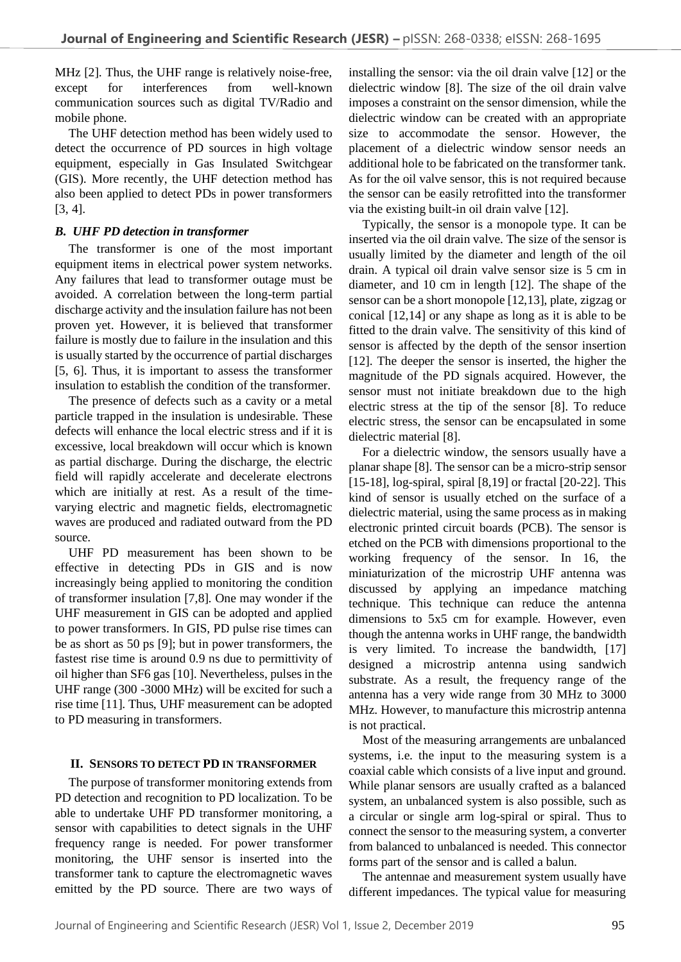MHz [2]. Thus, the UHF range is relatively noise-free, except for interferences from well-known communication sources such as digital TV/Radio and mobile phone.

The UHF detection method has been widely used to detect the occurrence of PD sources in high voltage equipment, especially in Gas Insulated Switchgear (GIS). More recently, the UHF detection method has also been applied to detect PDs in power transformers [3, 4].

## *B. UHF PD detection in transformer*

The transformer is one of the most important equipment items in electrical power system networks. Any failures that lead to transformer outage must be avoided. A correlation between the long-term partial discharge activity and the insulation failure has not been proven yet. However, it is believed that transformer failure is mostly due to failure in the insulation and this is usually started by the occurrence of partial discharges [5, 6]. Thus, it is important to assess the transformer insulation to establish the condition of the transformer.

The presence of defects such as a cavity or a metal particle trapped in the insulation is undesirable. These defects will enhance the local electric stress and if it is excessive, local breakdown will occur which is known as partial discharge. During the discharge, the electric field will rapidly accelerate and decelerate electrons which are initially at rest. As a result of the timevarying electric and magnetic fields, electromagnetic waves are produced and radiated outward from the PD source.

UHF PD measurement has been shown to be effective in detecting PDs in GIS and is now increasingly being applied to monitoring the condition of transformer insulation [7,8]. One may wonder if the UHF measurement in GIS can be adopted and applied to power transformers. In GIS, PD pulse rise times can be as short as 50 ps [9]; but in power transformers, the fastest rise time is around 0.9 ns due to permittivity of oil higher than SF6 gas [10]. Nevertheless, pulses in the UHF range (300 -3000 MHz) will be excited for such a rise time [11]. Thus, UHF measurement can be adopted to PD measuring in transformers.

## **II. SENSORS TO DETECT PD IN TRANSFORMER**

The purpose of transformer monitoring extends from PD detection and recognition to PD localization. To be able to undertake UHF PD transformer monitoring, a sensor with capabilities to detect signals in the UHF frequency range is needed. For power transformer monitoring, the UHF sensor is inserted into the transformer tank to capture the electromagnetic waves emitted by the PD source. There are two ways of installing the sensor: via the oil drain valve [12] or the dielectric window [8]. The size of the oil drain valve imposes a constraint on the sensor dimension, while the dielectric window can be created with an appropriate size to accommodate the sensor. However, the placement of a dielectric window sensor needs an additional hole to be fabricated on the transformer tank. As for the oil valve sensor, this is not required because the sensor can be easily retrofitted into the transformer via the existing built-in oil drain valve [12].

Typically, the sensor is a monopole type. It can be inserted via the oil drain valve. The size of the sensor is usually limited by the diameter and length of the oil drain. A typical oil drain valve sensor size is 5 cm in diameter, and 10 cm in length [12]. The shape of the sensor can be a short monopole [12,13], plate, zigzag or conical [12,14] or any shape as long as it is able to be fitted to the drain valve. The sensitivity of this kind of sensor is affected by the depth of the sensor insertion [12]. The deeper the sensor is inserted, the higher the magnitude of the PD signals acquired. However, the sensor must not initiate breakdown due to the high electric stress at the tip of the sensor [8]. To reduce electric stress, the sensor can be encapsulated in some dielectric material [8].

For a dielectric window, the sensors usually have a planar shape [8]. The sensor can be a micro-strip sensor [15-18], log-spiral, spiral [8,19] or fractal [20-22]. This kind of sensor is usually etched on the surface of a dielectric material, using the same process as in making electronic printed circuit boards (PCB). The sensor is etched on the PCB with dimensions proportional to the working frequency of the sensor. In 16, the miniaturization of the microstrip UHF antenna was discussed by applying an impedance matching technique. This technique can reduce the antenna dimensions to 5x5 cm for example. However, even though the antenna works in UHF range, the bandwidth is very limited. To increase the bandwidth, [17] designed a microstrip antenna using sandwich substrate. As a result, the frequency range of the antenna has a very wide range from 30 MHz to 3000 MHz. However, to manufacture this microstrip antenna is not practical.

Most of the measuring arrangements are unbalanced systems, i.e. the input to the measuring system is a coaxial cable which consists of a live input and ground. While planar sensors are usually crafted as a balanced system, an unbalanced system is also possible, such as a circular or single arm log-spiral or spiral. Thus to connect the sensor to the measuring system, a converter from balanced to unbalanced is needed. This connector forms part of the sensor and is called a balun.

The antennae and measurement system usually have different impedances. The typical value for measuring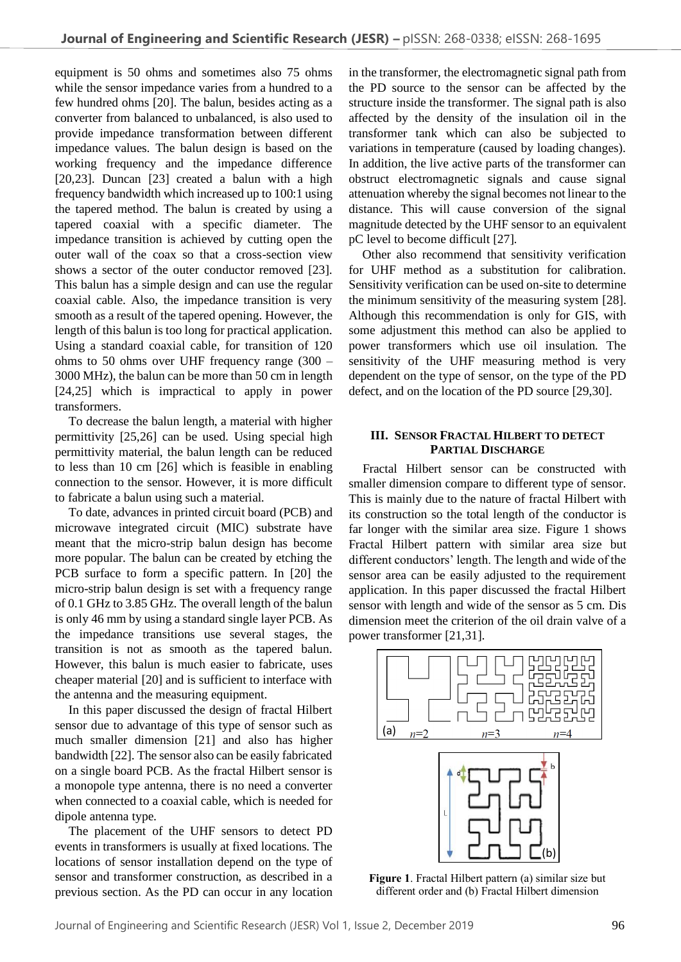equipment is 50 ohms and sometimes also 75 ohms while the sensor impedance varies from a hundred to a few hundred ohms [20]. The balun, besides acting as a converter from balanced to unbalanced, is also used to provide impedance transformation between different impedance values. The balun design is based on the working frequency and the impedance difference [20,23]. Duncan [23] created a balun with a high frequency bandwidth which increased up to 100:1 using the tapered method. The balun is created by using a tapered coaxial with a specific diameter. The impedance transition is achieved by cutting open the outer wall of the coax so that a cross-section view shows a sector of the outer conductor removed [23]. This balun has a simple design and can use the regular coaxial cable. Also, the impedance transition is very smooth as a result of the tapered opening. However, the length of this balun is too long for practical application. Using a standard coaxial cable, for transition of 120 ohms to 50 ohms over UHF frequency range (300 – 3000 MHz), the balun can be more than 50 cm in length [24,25] which is impractical to apply in power transformers.

To decrease the balun length, a material with higher permittivity [25,26] can be used. Using special high permittivity material, the balun length can be reduced to less than 10 cm [26] which is feasible in enabling connection to the sensor. However, it is more difficult to fabricate a balun using such a material.

To date, advances in printed circuit board (PCB) and microwave integrated circuit (MIC) substrate have meant that the micro-strip balun design has become more popular. The balun can be created by etching the PCB surface to form a specific pattern. In [20] the micro-strip balun design is set with a frequency range of 0.1 GHz to 3.85 GHz. The overall length of the balun is only 46 mm by using a standard single layer PCB. As the impedance transitions use several stages, the transition is not as smooth as the tapered balun. However, this balun is much easier to fabricate, uses cheaper material [20] and is sufficient to interface with the antenna and the measuring equipment.

In this paper discussed the design of fractal Hilbert sensor due to advantage of this type of sensor such as much smaller dimension [21] and also has higher bandwidth [22]. The sensor also can be easily fabricated on a single board PCB. As the fractal Hilbert sensor is a monopole type antenna, there is no need a converter when connected to a coaxial cable, which is needed for dipole antenna type.

The placement of the UHF sensors to detect PD events in transformers is usually at fixed locations. The locations of sensor installation depend on the type of sensor and transformer construction, as described in a previous section. As the PD can occur in any location

in the transformer, the electromagnetic signal path from the PD source to the sensor can be affected by the structure inside the transformer. The signal path is also affected by the density of the insulation oil in the transformer tank which can also be subjected to variations in temperature (caused by loading changes). In addition, the live active parts of the transformer can obstruct electromagnetic signals and cause signal attenuation whereby the signal becomes not linear to the distance. This will cause conversion of the signal magnitude detected by the UHF sensor to an equivalent pC level to become difficult [27].

Other also recommend that sensitivity verification for UHF method as a substitution for calibration. Sensitivity verification can be used on-site to determine the minimum sensitivity of the measuring system [28]. Although this recommendation is only for GIS, with some adjustment this method can also be applied to power transformers which use oil insulation. The sensitivity of the UHF measuring method is very dependent on the type of sensor, on the type of the PD defect, and on the location of the PD source [29,30].

## **III. SENSOR FRACTAL HILBERT TO DETECT PARTIAL DISCHARGE**

Fractal Hilbert sensor can be constructed with smaller dimension compare to different type of sensor. This is mainly due to the nature of fractal Hilbert with its construction so the total length of the conductor is far longer with the similar area size. Figure 1 shows Fractal Hilbert pattern with similar area size but different conductors' length. The length and wide of the sensor area can be easily adjusted to the requirement application. In this paper discussed the fractal Hilbert sensor with length and wide of the sensor as 5 cm. Dis dimension meet the criterion of the oil drain valve of a power transformer [21,31].



**Figure 1**. Fractal Hilbert pattern (a) similar size but different order and (b) Fractal Hilbert dimension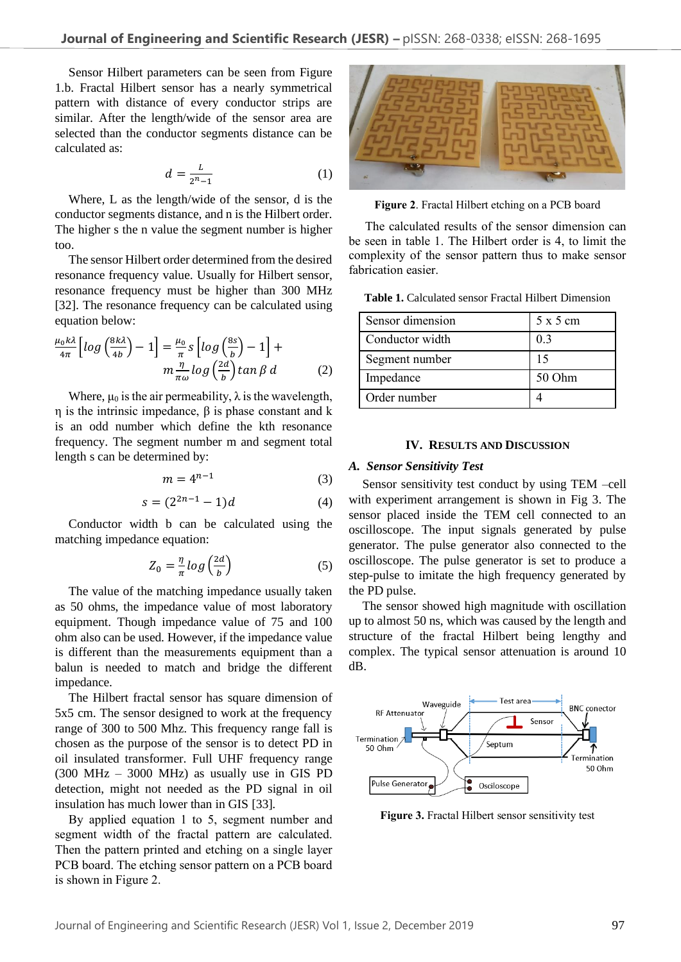Sensor Hilbert parameters can be seen from Figure 1.b. Fractal Hilbert sensor has a nearly symmetrical pattern with distance of every conductor strips are similar. After the length/wide of the sensor area are selected than the conductor segments distance can be calculated as:

$$
d = \frac{L}{2^n - 1} \tag{1}
$$

Where, L as the length/wide of the sensor, d is the conductor segments distance, and n is the Hilbert order. The higher s the n value the segment number is higher too.

The sensor Hilbert order determined from the desired resonance frequency value. Usually for Hilbert sensor, resonance frequency must be higher than 300 MHz [32]. The resonance frequency can be calculated using equation below:

$$
\frac{\mu_0 k\lambda}{4\pi} \left[ \log \left( \frac{8k\lambda}{4b} \right) - 1 \right] = \frac{\mu_0}{\pi} s \left[ \log \left( \frac{8s}{b} \right) - 1 \right] +
$$

$$
m \frac{\eta}{\pi \omega} \log \left( \frac{2d}{b} \right) \tan \beta \, d \tag{2}
$$

Where,  $\mu_0$  is the air permeability,  $\lambda$  is the wavelength, η is the intrinsic impedance, β is phase constant and k is an odd number which define the kth resonance frequency. The segment number m and segment total length s can be determined by:

$$
m = 4^{n-1} \tag{3}
$$

$$
s = (2^{2n-1} - 1)d \tag{4}
$$

Conductor width b can be calculated using the matching impedance equation:

$$
Z_0 = \frac{\eta}{\pi} \log \left( \frac{2d}{b} \right) \tag{5}
$$

The value of the matching impedance usually taken as 50 ohms, the impedance value of most laboratory equipment. Though impedance value of 75 and 100 ohm also can be used. However, if the impedance value is different than the measurements equipment than a balun is needed to match and bridge the different impedance.

The Hilbert fractal sensor has square dimension of 5x5 cm. The sensor designed to work at the frequency range of 300 to 500 Mhz. This frequency range fall is chosen as the purpose of the sensor is to detect PD in oil insulated transformer. Full UHF frequency range (300 MHz – 3000 MHz) as usually use in GIS PD detection, might not needed as the PD signal in oil insulation has much lower than in GIS [33].

By applied equation 1 to 5, segment number and segment width of the fractal pattern are calculated. Then the pattern printed and etching on a single layer PCB board. The etching sensor pattern on a PCB board is shown in Figure 2.



**Figure 2**. Fractal Hilbert etching on a PCB board

The calculated results of the sensor dimension can be seen in table 1. The Hilbert order is 4, to limit the complexity of the sensor pattern thus to make sensor fabrication easier.

**Table 1.** Calculated sensor Fractal Hilbert Dimension

| Sensor dimension | 5x5cm  |
|------------------|--------|
| Conductor width  | 0.3    |
| Segment number   | 15     |
| Impedance        | 50 Ohm |
| Order number     |        |

#### **IV. RESULTS AND DISCUSSION**

#### *A. Sensor Sensitivity Test*

Sensor sensitivity test conduct by using TEM –cell with experiment arrangement is shown in Fig 3. The sensor placed inside the TEM cell connected to an oscilloscope. The input signals generated by pulse generator. The pulse generator also connected to the oscilloscope. The pulse generator is set to produce a step-pulse to imitate the high frequency generated by the PD pulse.

The sensor showed high magnitude with oscillation up to almost 50 ns, which was caused by the length and structure of the fractal Hilbert being lengthy and complex. The typical sensor attenuation is around 10 dB.



**Figure 3.** Fractal Hilbert sensor sensitivity test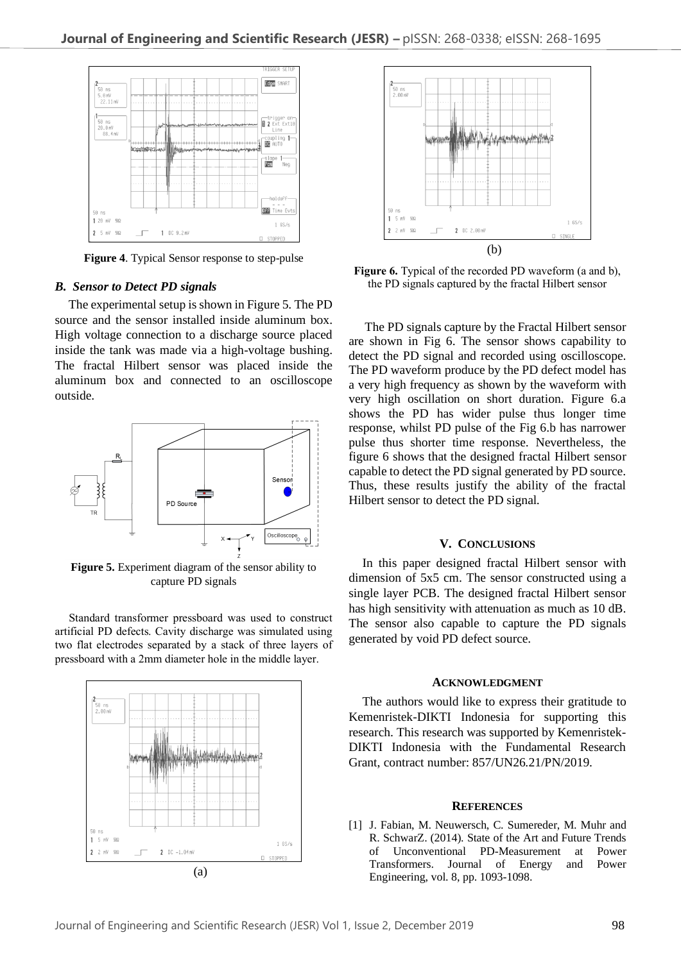

**Figure 4**. Typical Sensor response to step-pulse

#### *B. Sensor to Detect PD signals*

The experimental setup is shown in Figure 5. The PD source and the sensor installed inside aluminum box. High voltage connection to a discharge source placed inside the tank was made via a high-voltage bushing. The fractal Hilbert sensor was placed inside the aluminum box and connected to an oscilloscope outside.



**Figure 5.** Experiment diagram of the sensor ability to capture PD signals

Standard transformer pressboard was used to construct artificial PD defects. Cavity discharge was simulated using two flat electrodes separated by a stack of three layers of pressboard with a 2mm diameter hole in the middle layer.





**Figure 6.** Typical of the recorded PD waveform (a and b), the PD signals captured by the fractal Hilbert sensor

The PD signals capture by the Fractal Hilbert sensor are shown in Fig 6. The sensor shows capability to detect the PD signal and recorded using oscilloscope. The PD waveform produce by the PD defect model has a very high frequency as shown by the waveform with very high oscillation on short duration. Figure 6.a shows the PD has wider pulse thus longer time response, whilst PD pulse of the Fig 6.b has narrower pulse thus shorter time response. Nevertheless, the figure 6 shows that the designed fractal Hilbert sensor capable to detect the PD signal generated by PD source. Thus, these results justify the ability of the fractal Hilbert sensor to detect the PD signal.

#### **V. CONCLUSIONS**

In this paper designed fractal Hilbert sensor with dimension of 5x5 cm. The sensor constructed using a single layer PCB. The designed fractal Hilbert sensor has high sensitivity with attenuation as much as 10 dB. The sensor also capable to capture the PD signals generated by void PD defect source.

#### **ACKNOWLEDGMENT**

The authors would like to express their gratitude to Kemenristek-DIKTI Indonesia for supporting this research. This research was supported by Kemenristek-DIKTI Indonesia with the Fundamental Research Grant, contract number: 857/UN26.21/PN/2019.

### **REFERENCES**

[1] J. Fabian, M. Neuwersch, C. Sumereder, M. Muhr and R. SchwarZ. (2014). State of the Art and Future Trends of Unconventional PD-Measurement at Power Transformers. Journal of Energy and Power Engineering, vol. 8, pp. 1093-1098.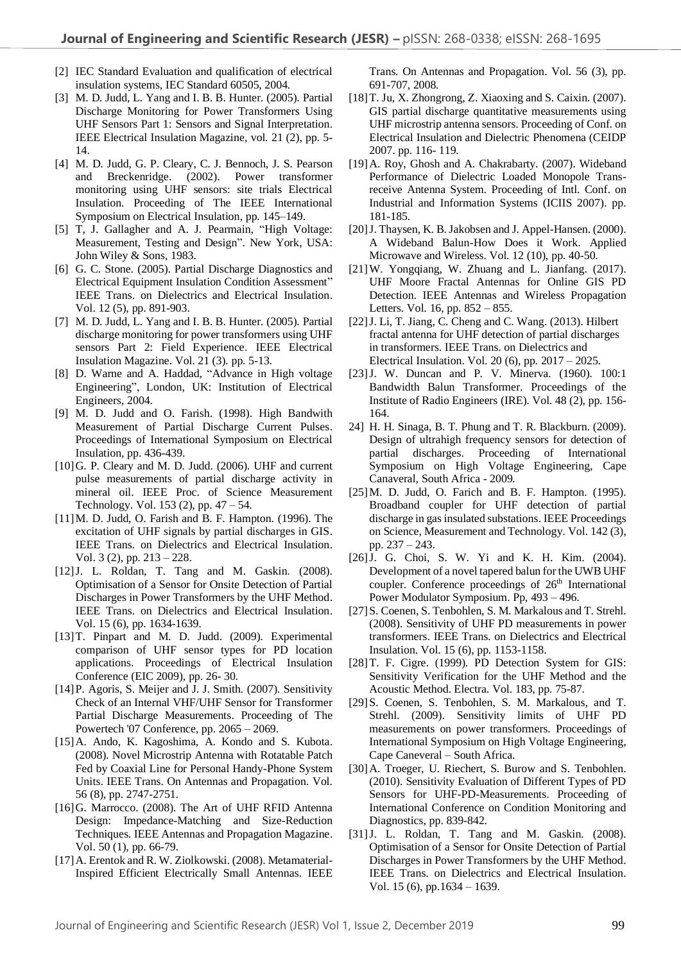- [2] IEC Standard Evaluation and qualification of electrical insulation systems, IEC Standard 60505, 2004.
- [3] M. D. Judd, L. Yang and I. B. B. Hunter. (2005). Partial Discharge Monitoring for Power Transformers Using UHF Sensors Part 1: Sensors and Signal Interpretation. IEEE Electrical Insulation Magazine, vol. 21 (2), pp. 5- 14.
- [4] M. D. Judd, G. P. Cleary, C. J. Bennoch, J. S. Pearson and Breckenridge. (2002). Power transformer monitoring using UHF sensors: site trials Electrical Insulation. Proceeding of The IEEE International Symposium on Electrical Insulation, pp. 145–149.
- [5] T, J. Gallagher and A. J. Pearmain, "High Voltage: Measurement, Testing and Design". New York, USA: John Wiley & Sons, 1983.
- [6] G. C. Stone. (2005). Partial Discharge Diagnostics and Electrical Equipment Insulation Condition Assessment" IEEE Trans. on Dielectrics and Electrical Insulation. Vol. 12 (5), pp. 891-903.
- [7] M. D. Judd, L. Yang and I. B. B. Hunter. (2005). Partial discharge monitoring for power transformers using UHF sensors Part 2: Field Experience. IEEE Electrical Insulation Magazine. Vol. 21 (3). pp. 5-13.
- [8] D. Warne and A. Haddad, "Advance in High voltage Engineering", London, UK: Institution of Electrical Engineers, 2004.
- [9] M. D. Judd and O. Farish. (1998). High Bandwith Measurement of Partial Discharge Current Pulses. Proceedings of International Symposium on Electrical Insulation, pp. 436-439.
- [10]G. P. Cleary and M. D. Judd. (2006). UHF and current pulse measurements of partial discharge activity in mineral oil. IEEE Proc. of Science Measurement Technology. Vol. 153 (2), pp. 47 – 54.
- [11]M. D. Judd, O. Farish and B. F. Hampton. (1996). The excitation of UHF signals by partial discharges in GIS. IEEE Trans. on Dielectrics and Electrical Insulation. Vol. 3 (2), pp. 213 – 228.
- [12]J. L. Roldan, T. Tang and M. Gaskin. (2008). Optimisation of a Sensor for Onsite Detection of Partial Discharges in Power Transformers by the UHF Method. IEEE Trans. on Dielectrics and Electrical Insulation. Vol. 15 (6), pp. 1634-1639.
- [13]T. Pinpart and M. D. Judd. (2009). Experimental comparison of UHF sensor types for PD location applications. Proceedings of Electrical Insulation Conference (EIC 2009), pp. 26- 30.
- [14] P. Agoris, S. Meijer and J. J. Smith. (2007). Sensitivity Check of an Internal VHF/UHF Sensor for Transformer Partial Discharge Measurements. Proceeding of The Powertech '07 Conference*,* pp. 2065 – 2069.
- [15]A. Ando, K. Kagoshima, A. Kondo and S. Kubota. (2008). Novel Microstrip Antenna with Rotatable Patch Fed by Coaxial Line for Personal Handy-Phone System Units. IEEE Trans. On Antennas and Propagation. Vol. 56 (8), pp. 2747-2751.
- [16]G. Marrocco. (2008). The Art of UHF RFID Antenna Design: Impedance-Matching and Size-Reduction Techniques. IEEE Antennas and Propagation Magazine. Vol. 50 (1), pp. 66-79.
- [17]A. Erentok and R. W. Ziolkowski. (2008). Metamaterial-Inspired Efficient Electrically Small Antennas. IEEE

Trans. On Antennas and Propagation. Vol. 56 (3), pp. 691-707, 2008.

- [18]T. Ju, X. Zhongrong, Z. Xiaoxing and S. Caixin. (2007). GIS partial discharge quantitative measurements using UHF microstrip antenna sensors. Proceeding of Conf. on Electrical Insulation and Dielectric Phenomena (CEIDP 2007. pp. 116- 119.
- [19]A. Roy, Ghosh and A. Chakrabarty. (2007). Wideband Performance of Dielectric Loaded Monopole Transreceive Antenna System. Proceeding of Intl. Conf. on Industrial and Information Systems (ICIIS 2007). pp. 181-185.
- [20]J. Thaysen, K. B. Jakobsen and J. Appel-Hansen. (2000). A Wideband Balun-How Does it Work. Applied Microwave and Wireless. Vol. 12 (10), pp. 40-50.
- [21]W. Yongqiang, W. Zhuang and L. Jianfang. (2017). UHF Moore Fractal Antennas for Online GIS PD Detection. [IEEE Antennas and Wireless Propagation](http://ieeexplore.ieee.org/xpl/RecentIssue.jsp?punumber=7727)  [Letters.](http://ieeexplore.ieee.org/xpl/RecentIssue.jsp?punumber=7727) Vol. 16, pp. 852 – 855.
- [22]J. Li, T. Jiang, C. Cheng and C. Wang. (2013). Hilbert fractal antenna for UHF detection of partial discharges in transformers. IEEE Trans. on Dielectrics and Electrical Insulation. Vol. 20 (6), pp. 2017 – 2025.
- [23]J. W. Duncan and P. V. Minerva. (1960). 100:1 Bandwidth Balun Transformer. Proceedings of the Institute of Radio Engineers (IRE). Vol. 48 (2), pp. 156- 164.
- 24] H. H. Sinaga, B. T. Phung and T. R. Blackburn. (2009). Design of ultrahigh frequency sensors for detection of partial discharges. Proceeding of International Symposium on High Voltage Engineering, Cape Canaveral, South Africa - 2009*.*
- [25]M. D. Judd, O. Farich and B. F. Hampton. (1995). Broadband coupler for UHF detection of partial discharge in gas insulated substations. IEEE Proceedings on Science, Measurement and Technology. Vol. 142 (3), pp. 237 – 243.
- [26] J. G. Choi, S. W. Yi and K. H. Kim. (2004). Development of a novel tapered balun for the UWB UHF coupler. Conference proceedings of 26<sup>th</sup> International Power Modulator Symposium. Pp, 493 – 496.
- [27] S. Coenen, S. Tenbohlen, S. M. Markalous and T. Strehl. (2008). Sensitivity of UHF PD measurements in power transformers. IEEE Trans. on Dielectrics and Electrical Insulation. Vol. 15 (6), pp. 1153-1158.
- [28]T. F. Cigre. (1999). PD Detection System for GIS: Sensitivity Verification for the UHF Method and the Acoustic Method. Electra. Vol. 183, pp. 75-87.
- [29]S. Coenen, S. Tenbohlen, S. M. Markalous, and T. Strehl. (2009). Sensitivity limits of UHF PD measurements on power transformers. Proceedings of International Symposium on High Voltage Engineering, Cape Caneveral – South Africa.
- [30]A. Troeger, U. Riechert, S. Burow and S. Tenbohlen. (2010). Sensitivity Evaluation of Different Types of PD Sensors for UHF-PD-Measurements. Proceeding of International Conference on Condition Monitoring and Diagnostics, pp. 839-842.
- [31]J. L. Roldan, T. Tang and M. Gaskin. (2008). Optimisation of a Sensor for Onsite Detection of Partial Discharges in Power Transformers by the UHF Method. IEEE Trans. on Dielectrics and Electrical Insulation. Vol. 15 (6), pp.1634 – 1639.